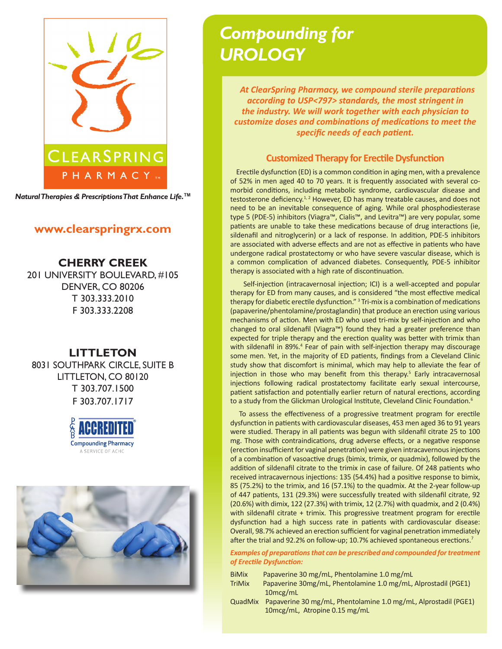

*Natural Therapies & Prescriptions That Enhance Life.***TM**

## **www.clearspringrx.com**

**CHERRY CREEK** 201 UNIVERSITY BOULEVARD, #105 DENVER, CO 80206 T 303.333.2010 F 303.333.2208

# **LITTLETON**

8031 SOUTHPARK CIRCLE, SUITE B LITTLETON, CO 80120 T 303.707.1500 F 303.707.1717





# *Compounding for UROLOGY*

 *At ClearSpring Pharmacy, we compound sterile preparations according to USP<797> standards, the most stringent in the industry. We will work together with each physician to customize doses and combinations of medications to meet the specific needs of each patient.*

## **Customized Therapy for Erectile Dysfunction**

 Erectile dysfunction (ED) is a common condition in aging men, with a prevalence of 52% in men aged 40 to 70 years. It is frequently associated with several comorbid conditions, including metabolic syndrome, cardiovascular disease and testosterone deficiency.<sup>1, 2</sup> However, ED has many treatable causes, and does not need to be an inevitable consequence of aging. While oral phosphodiesterase type 5 (PDE-5) inhibitors (Viagra™, Cialis™, and Levitra™) are very popular, some patients are unable to take these medications because of drug interactions (ie, sildenafil and nitroglycerin) or a lack of response. In addition, PDE-5 inhibitors are associated with adverse effects and are not as effective in patients who have undergone radical prostatectomy or who have severe vascular disease, which is a common complication of advanced diabetes. Consequently, PDE-5 inhibitor therapy is associated with a high rate of discontinuation.

 Self-injection (intracavernosal injection; ICI) is a well-accepted and popular therapy for ED from many causes, and is considered "the most effective medical therapy for diabetic erectile dysfunction." <sup>3</sup> Tri-mix is a combination of medications (papaverine/phentolamine/prostaglandin) that produce an erection using various mechanisms of action. Men with ED who used tri-mix by self-injection and who changed to oral sildenafil (Viagra™) found they had a greater preference than expected for triple therapy and the erection quality was better with trimix than with sildenafil in 89%.<sup>4</sup> Fear of pain with self-injection therapy may discourage some men. Yet, in the majority of ED patients, findings from a Cleveland Clinic study show that discomfort is minimal, which may help to alleviate the fear of injection in those who may benefit from this therapy.<sup>5</sup> Early intracavernosal injections following radical prostatectomy facilitate early sexual intercourse, patient satisfaction and potentially earlier return of natural erections, according to a study from the Glickman Urological Institute, Cleveland Clinic Foundation.<sup>6</sup>

 To assess the effectiveness of a progressive treatment program for erectile dysfunction in patients with cardiovascular diseases, 453 men aged 36 to 91 years were studied. Therapy in all patients was begun with sildenafil citrate 25 to 100 mg. Those with contraindications, drug adverse effects, or a negative response (erection insufficient for vaginal penetration) were given intracavernous injections of a combination of vasoactive drugs (bimix, trimix, or quadmix), followed by the addition of sildenafil citrate to the trimix in case of failure. Of 248 patients who received intracavernous injections: 135 (54.4%) had a positive response to bimix, 85 (75.2%) to the trimix, and 16 (57.1%) to the quadmix. At the 2-year follow-up of 447 patients, 131 (29.3%) were successfully treated with sildenafil citrate, 92 (20.6%) with dimix, 122 (27.3%) with trimix, 12 (2.7%) with quadmix, and 2 (0.4%) with sildenafil citrate + trimix. This progressive treatment program for erectile dysfunction had a high success rate in patients with cardiovascular disease: Overall, 98.7% achieved an erection sufficient for vaginal penetration immediately after the trial and 92.2% on follow-up; 10.7% achieved spontaneous erections.<sup>7</sup>

*Examples of preparations that can be prescribed and compounded for treatment of Erectile Dysfunction:*

- BiMix Papaverine 30 mg/mL, Phentolamine 1.0 mg/mL
- TriMix Papaverine 30mg/mL, Phentolamine 1.0 mg/mL, Alprostadil (PGE1) 10mcg/mL
- QuadMix Papaverine 30 mg/mL, Phentolamine 1.0 mg/mL, Alprostadil (PGE1) 10mcg/mL, Atropine 0.15 mg/mL